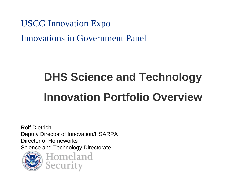USCG Innovation Expo Innovations in Government Panel

# **DHS Science and Technology Innovation Portfolio Overview**

Rolf DietrichDeputy Director of Innovation/HSARPA Director of HomeworksScience and Technology Directorate



Homeland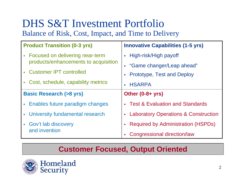## DHS S&T Investment Portfolio Balance of Risk, Cost, Impact, and Time to Delivery

| <b>Product Transition (0-3 yrs)</b>    | <b>Innovative Capabilities (1-5 yrs)</b>                         |  |  |
|----------------------------------------|------------------------------------------------------------------|--|--|
| • Focused on delivering near-term      | • High-risk/High payoff                                          |  |  |
| products/enhancements to acquisition   | • "Game changer/Leap ahead"                                      |  |  |
| • Customer IPT controlled              | <b>Prototype, Test and Deploy</b><br>$\mathcal{L}_{\mathcal{A}}$ |  |  |
| • Cost, schedule, capability metrics   | <b>HSARPA</b><br>$\mathcal{L}_{\mathcal{A}}$                     |  |  |
| <b>Basic Research (&gt;8 yrs)</b>      | Other $(0-8+yrs)$                                                |  |  |
| • Enables future paradigm changes      | <b>Test &amp; Evaluation and Standards</b><br>a.                 |  |  |
| • University fundamental research      | <b>Laboratory Operations &amp; Construction</b><br>$\mathbf{r}$  |  |  |
| • Gov't lab discovery<br>and invention | <b>Required by Administration (HSPDs)</b>                        |  |  |
|                                        | Congressional direction/law                                      |  |  |

#### **Customer Focused, Output Oriented**



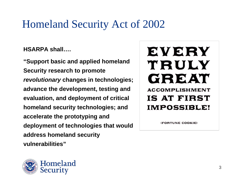## Homeland Security Act of 2002

**HSARPA shall….**

**"Support basic and applied homeland Security research to promote**  *revolutionary* **changes in technologies; advance the development, testing and evaluation, and deployment of critical homeland security technologies; and accelerate the prototyping and deployment of technologies that would address homeland security vulnerabilities"**

## EVERY TRULY **GREAT ACCOMPLISHMENT** IS AT FIRST **IMPOSSIBLE!**

(FORTUNE COOKIE)

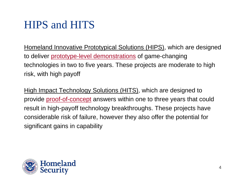# HIPS and HITS

Homeland Innovative Prototypical Solutions (HIPS), which are designed to deliver prototype-level demonstrations of game-changing technologies in two to five years. These projects are moderate to high risk, with high payoff

High Impact Technology Solutions (HITS), which are designed to provide proof-of-concept answers within one to three years that could result in high-payoff technology breakthroughs. These projects have considerable risk of failure, however they also offer the potential for significant gains in capability

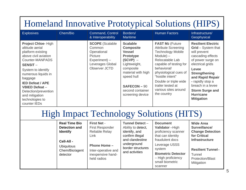## Homeland Innovative Prototypical Solutions (HIPS)

| <b>Explosives</b>                                                                                                                                                                                                                                                                                         | Chem/Bio | Command, Control<br>& Interoperability                                                                                     | Borders/<br><b>Maritime</b>                                                                                                                                                                                       | <b>Human Factors</b>                                                                                                                                                                                                                                                                   | Infrastructure/<br>Geophysical                                                                                                                                                                                                                                                                 |
|-----------------------------------------------------------------------------------------------------------------------------------------------------------------------------------------------------------------------------------------------------------------------------------------------------------|----------|----------------------------------------------------------------------------------------------------------------------------|-------------------------------------------------------------------------------------------------------------------------------------------------------------------------------------------------------------------|----------------------------------------------------------------------------------------------------------------------------------------------------------------------------------------------------------------------------------------------------------------------------------------|------------------------------------------------------------------------------------------------------------------------------------------------------------------------------------------------------------------------------------------------------------------------------------------------|
| Project Chloe-High<br>altitude aerial<br>platform existing<br>above civil aviation<br>Counter-MANPADS<br><b>SENSIT-</b><br>System to identify<br>numerous liquids in<br>baggage<br><b>IED Defeat / APE</b><br>VBIED Defeat -<br>Detection/prevention<br>and mitigation<br>technologies to<br>counter IEDs |          | <b>SCOPE</b> (Scalable<br>Common<br>Operational<br><b>Picture</b><br>$Experiment$ ) –<br>Leverages Global<br>Observer JCTD | <b>Scalable</b><br><b>Composite</b><br><b>Vessel</b><br><b>Prototype</b><br>$(SCVP)$ –<br>Lightweight,<br>composite<br>material with high<br>speed hull<br>$SAFECON - 90$<br>second container<br>screening device | FAST M2 (Future<br><b>Attribute Screening</b><br><b>Technology Mobile</b><br>$Module) -$<br>Relocatable Lab<br>capable of testing for<br>behavioral/<br>physiological cues of<br>"hostile intent"<br>Double or triple wide<br>trailer tested at<br>various sites around<br>the country | <b>Resilient Electric</b><br>Grid - System that<br>will prevent<br>cascading effects<br>of power surge on<br>electrical grids<br>Levee<br><b>Strengthening</b><br>and Rapid Repair<br>- rapidly stop a<br>breach in a levee<br><b>Storm Surge and</b><br><b>Hurricane</b><br><b>Mitigation</b> |

## High Impact Technology Solutions (HITS)

| <b>Real Time Bio</b><br><b>First Net -</b><br><b>Detection and</b><br>First Responder<br>Reliable Relay<br><b>Identify</b><br>Link<br>Cell-All -<br><b>Phone Home -</b><br><b>Ubiquitous</b><br>Chem/Bio/agent<br>Inter-operative and<br>inexpensive hand-<br>detector<br>held radios | <b>Tunnel Detect -</b><br>Ability to detect,<br>identify, and<br>confirm illegal<br>and clandestine<br>underground<br>border structures<br>and activities | <b>Document</b><br>Validator-High<br>proficiency scanner<br>that can identity<br>fraudulent docs<br>Leverage USSS<br>system<br><b>Biometric Detector</b><br>- High proficiency<br>small biometric<br>scanner | <b>Wide Area</b><br>Surveillance/<br><b>Change Detection</b><br>for Critical<br><b>Infrastructure</b><br><b>Resilient Tunnel-</b><br>Tunnel<br><b>Protection/Blast</b><br>Mitigation |
|---------------------------------------------------------------------------------------------------------------------------------------------------------------------------------------------------------------------------------------------------------------------------------------|-----------------------------------------------------------------------------------------------------------------------------------------------------------|--------------------------------------------------------------------------------------------------------------------------------------------------------------------------------------------------------------|--------------------------------------------------------------------------------------------------------------------------------------------------------------------------------------|
|---------------------------------------------------------------------------------------------------------------------------------------------------------------------------------------------------------------------------------------------------------------------------------------|-----------------------------------------------------------------------------------------------------------------------------------------------------------|--------------------------------------------------------------------------------------------------------------------------------------------------------------------------------------------------------------|--------------------------------------------------------------------------------------------------------------------------------------------------------------------------------------|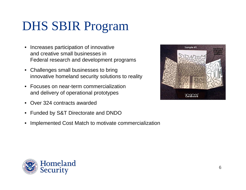# DHS SBIR Program

- Increases participation of innovative and creative small businesses in Federal research and development programs
- Challenges small businesses to bring innovative homeland security solutions to reality
- Focuses on near-term commercialization and delivery of operational prototypes
- Over 324 contracts awarded
- Funded by S&T Directorate and DNDO
- Implemented Cost Match to motivate commercialization



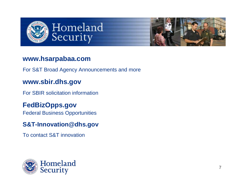



#### **www.hsarpabaa.com**

For S&T Broad Agency Announcements and more

#### **www.sbir.dhs.gov**

For SBIR solicitation information

#### **FedBizOpps.gov**

Federal Business Opportunities

#### **S&T-Innovation@dhs.gov**

To contact S&T innovation